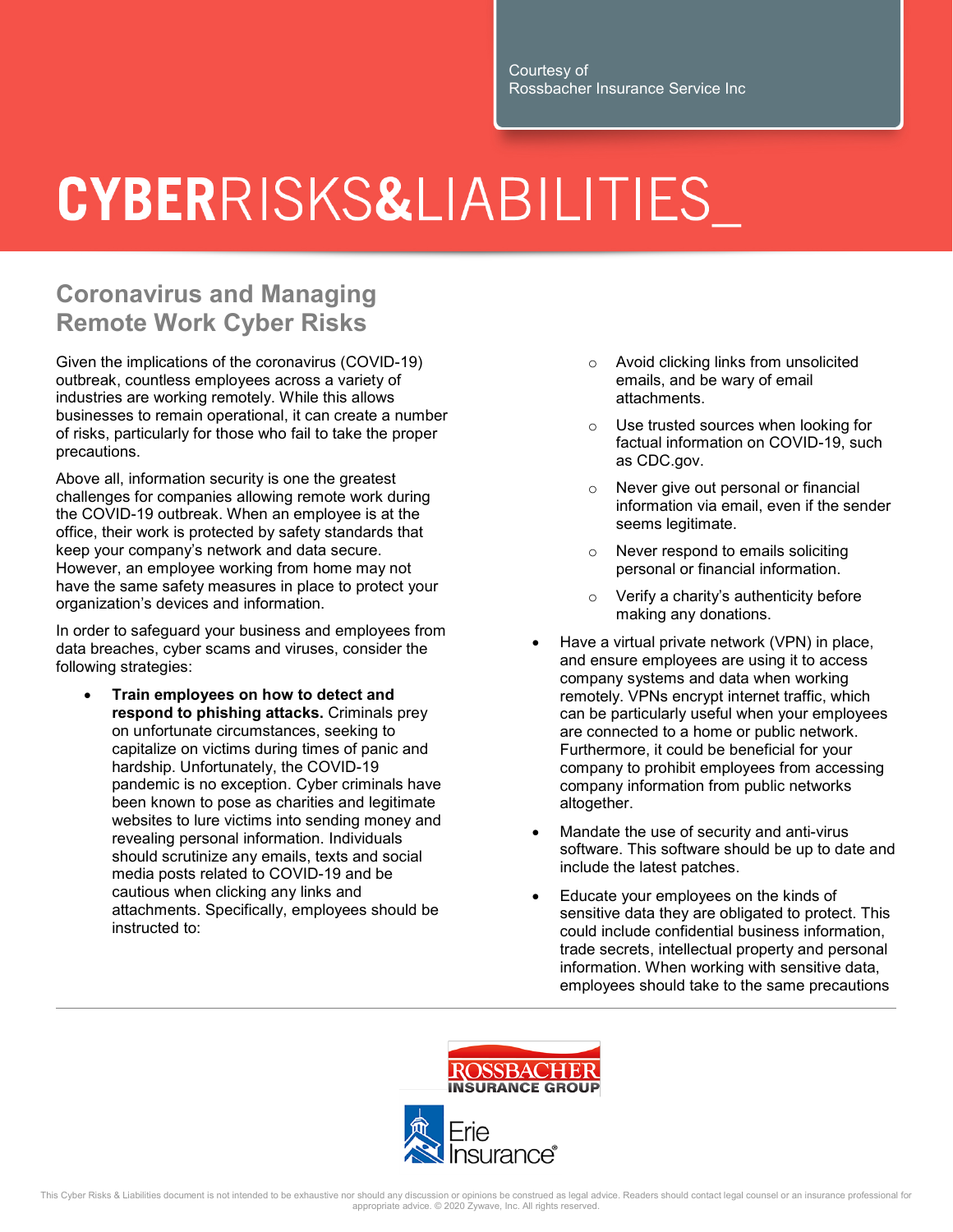## **CYBERRISKS&LIABILITIES**

## **Coronavirus and Managing Remote Work Cyber Risks**

Given the implications of the coronavirus (COVID-19) outbreak, countless employees across a variety of industries are working remotely. While this allows businesses to remain operational, it can create a number of risks, particularly for those who fail to take the proper precautions.

Above all, information security is one the greatest challenges for companies allowing remote work during the COVID-19 outbreak. When an employee is at the office, their work is protected by safety standards that keep your company's network and data secure. However, an employee working from home may not have the same safety measures in place to protect your organization's devices and information.

In order to safeguard your business and employees from data breaches, cyber scams and viruses, consider the following strategies:

• **Train employees on how to detect and respond to phishing attacks.** Criminals prey on unfortunate circumstances, seeking to capitalize on victims during times of panic and hardship. Unfortunately, the COVID-19 pandemic is no exception. Cyber criminals have been known to pose as charities and legitimate websites to lure victims into sending money and revealing personal information. Individuals should scrutinize any emails, texts and social media posts related to COVID-19 and be cautious when clicking any links and attachments. Specifically, employees should be instructed to:

- o Avoid clicking links from unsolicited emails, and be wary of email attachments.
- o Use trusted sources when looking for factual information on COVID-19, such as CDC.gov.
- Never give out personal or financial information via email, even if the sender seems legitimate.
- o Never respond to emails soliciting personal or financial information.
- o Verify a charity's authenticity before making any donations.
- Have a virtual private network (VPN) in place, and ensure employees are using it to access company systems and data when working remotely. VPNs encrypt internet traffic, which can be particularly useful when your employees are connected to a home or public network. Furthermore, it could be beneficial for your company to prohibit employees from accessing company information from public networks altogether.
- Mandate the use of security and anti-virus software. This software should be up to date and include the latest patches.
- Educate your employees on the kinds of sensitive data they are obligated to protect. This could include confidential business information, trade secrets, intellectual property and personal information. When working with sensitive data, employees should take to the same precautions